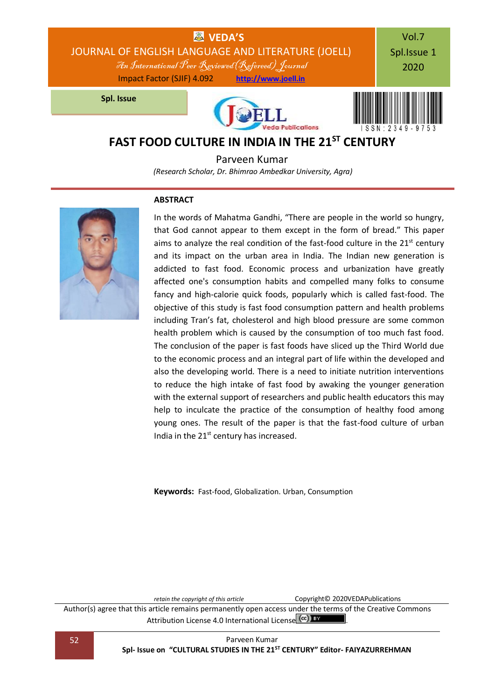

Parveen Kumar *(Research Scholar, Dr. Bhimrao Ambedkar University, Agra)*

### **ABSTRACT**



In the words of Mahatma Gandhi, "There are people in the world so hungry, that God cannot appear to them except in the form of bread." This paper aims to analyze the real condition of the fast-food culture in the  $21<sup>st</sup>$  century and its impact on the urban area in India. The Indian new generation is addicted to fast food. Economic process and urbanization have greatly affected one's consumption habits and compelled many folks to consume fancy and high-calorie quick foods, popularly which is called fast-food. The objective of this study is fast food consumption pattern and health problems including Tran's fat, cholesterol and high blood pressure are some common health problem which is caused by the consumption of too much fast food. The conclusion of the paper is fast foods have sliced up the Third World due to the economic process and an integral part of life within the developed and also the developing world. There is a need to initiate nutrition interventions to reduce the high intake of fast food by awaking the younger generation with the external support of researchers and public health educators this may help to inculcate the practice of the consumption of healthy food among young ones. The result of the paper is that the fast-food culture of urban India in the  $21^{st}$  century has increased.

**Keywords:** Fast-food, Globalization. Urban, Consumption

*retain the copyright of this article* Copyright© 2020VEDAPublications

Author(s) agree that this article remains permanently open access under the terms of the Creative Commons Attribution Lic[e](http://creativecommons.org/licenses/by/4.0/)nse 4.0 International License (CC) BY

52 Parveen Kumar **Spl- Issue on "CULTURAL STUDIES IN THE 21ST CENTURY" Editor- FAIYAZURREHMAN**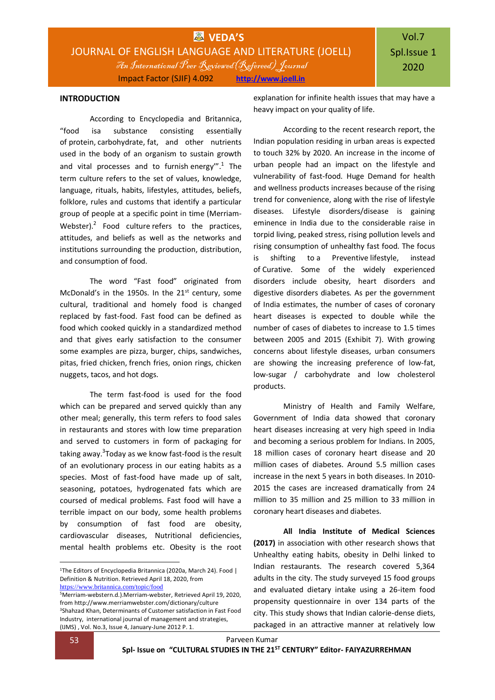### **INTRODUCTION**

According to Encyclopedia and Britannica, "food isa substance consisting essentially of [protein,](https://www.britannica.com/science/protein) [carbohydrate,](https://www.britannica.com/science/carbohydrate) [fat,](https://www.britannica.com/topic/fat) and other nutrients used in the body of an organism to sustain growth and vital processes and to furnish [energy](https://www.britannica.com/science/energy)"<sup>.1</sup> The term culture refers to the set of values, knowledge, language, rituals, habits, lifestyles, attitudes, beliefs, folklore, rules and customs that identify a particular group of people at a specific point in time (Merriam-Webster). $2$  Food culture refers to the practices, attitudes, and beliefs as well as the networks and institutions surrounding the production, distribution, and consumption of food.

The word "Fast food" originated from McDonald's in the 1950s. In the  $21<sup>st</sup>$  century, some cultural, traditional and homely food is changed replaced by fast-food. Fast food can be defined as food which cooked quickly in a standardized method and that gives early satisfaction to the consumer some examples are pizza, burger, chips, sandwiches, pitas, fried chicken, french fries, onion rings, chicken nuggets, tacos, and hot dogs.

The term fast-food is used for the food which can be prepared and served quickly than any other meal; generally, this term refers to food sales in restaurants and stores with low time preparation and served to customers in form of packaging for taking away.<sup>3</sup>Today as we know fast-food is the result of an evolutionary process in our eating habits as a species. Most of fast-food have made up of salt, seasoning, potatoes, hydrogenated fats which are coursed of medical problems. Fast food will have a terrible impact on our body, some health problems by consumption of fast food are obesity, cardiovascular diseases, Nutritional deficiencies, mental health problems etc. Obesity is the root explanation for infinite health issues that may have a heavy impact on your quality of life.

According to the recent research report, the Indian population residing in urban areas is expected to touch 32% by 2020. An increase in the income of urban people had an impact on the lifestyle and vulnerability of fast-food. Huge Demand for health and wellness products increases because of the rising trend for convenience, along with the rise of lifestyle diseases. Lifestyle disorders/disease is gaining eminence in India due to the considerable raise in torpid living, peaked stress, rising pollution levels and rising consumption of unhealthy fast food. The focus is shifting to a Preventive lifestyle, instead of Curative. Some of the widely experienced disorders include obesity, heart disorders and digestive disorders diabetes. As per the government of India estimates, the number of cases of coronary heart diseases is expected to double while the number of cases of diabetes to increase to 1.5 times between 2005 and 2015 (Exhibit 7). With growing concerns about lifestyle diseases, urban consumers are showing the increasing preference of low-fat, low-sugar / carbohydrate and low cholesterol products.

Ministry of Health and Family Welfare, Government of India data showed that coronary heart diseases increasing at very high speed in India and becoming a serious problem for Indians. In 2005, 18 million cases of coronary heart disease and 20 million cases of diabetes. Around 5.5 million cases increase in the next 5 years in both diseases. In 2010- 2015 the cases are increased dramatically from 24 million to 35 million and 25 million to 33 million in coronary heart diseases and diabetes.

**All India Institute of Medical Sciences (2017)** in association with other research shows that Unhealthy eating habits, obesity in Delhi linked to Indian restaurants. The research covered 5,364 adults in the city. The study surveyed 15 food groups and evaluated dietary intake using a 26-item food propensity questionnaire in over 134 parts of the city. This study shows that Indian calorie-dense diets, packaged in an attractive manner at relatively low

**.** 

<sup>&</sup>lt;sup>1</sup>The Editors of Encyclopedia Britannica (2020a, March 24). Food | Definition & Nutrition. Retrieved April 18, 2020, from <https://www.britannica.com/topic/food>

<sup>5</sup>Merriam-webstern.d.).Merriam-webster, Retrieved April 19, 2020, from http://www.merriamwebster.com/dictionary/culture <sup>3</sup>Shahzad Khan, Determinants of Customer satisfaction in Fast Food Industry, international journal of management and strategies, (IJMS) , Vol. No.3, Issue 4, January-June 2012 P. 1.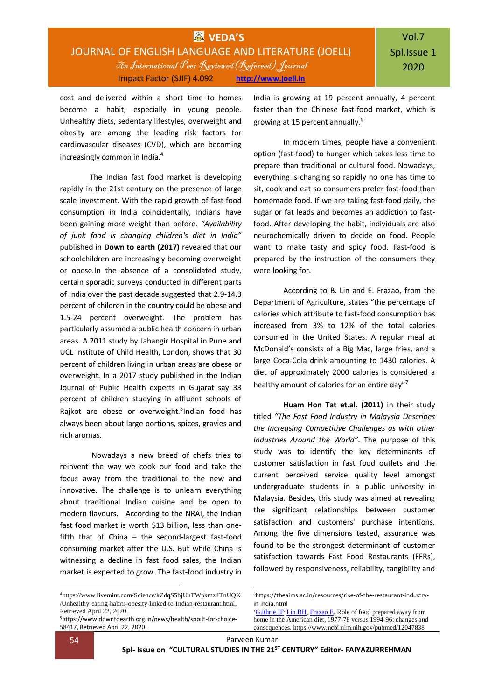## **WVEDA'S** JOURNAL OF ENGLISH LANGUAGE AND LITERATURE (JOELL) An International Peer Reviewed(Refereed) Journal Impact Factor (SJIF) 4.092 **[http://www.joell.in](http://www.joell.in/)**

cost and delivered within a short time to homes become a habit, especially in young people. Unhealthy diets, sedentary lifestyles, overweight and obesity are among the leading risk factors for cardiovascular diseases (CVD), which are becoming increasingly common in India.<sup>4</sup>

The Indian fast food market is developing rapidly in the 21st century on the presence of large scale investment. With the rapid growth of fast food consumption in India coincidentally, Indians have been gaining more weight than before. *"Availability of junk food is changing children's diet in India"* published in **Down to earth (2017)** revealed that our schoolchildren are increasingly becoming overweight or obese.In the absence of a consolidated study, certain sporadic surveys conducted in different parts of India over the past decade suggested that 2.9-14.3 percent of children in the country could be obese and 1.5-24 percent overweight. The problem has particularly assumed a public health concern in urban areas. A 2011 study by Jahangir Hospital in Pune and UCL Institute of Child Health, London, shows that 30 percent of children living in urban areas are obese or overweight. In a 2017 study published in the Indian Journal of Public Health experts in Gujarat say 33 percent of children studying in affluent schools of Rajkot are obese or overweight.<sup>5</sup>Indian food has always been about large portions, spices, gravies and rich aromas.

Nowadays a new breed of chefs tries to reinvent the way we cook our food and take the focus away from the traditional to the new and innovative. The challenge is to unlearn everything about traditional Indian cuisine and be open to modern flavours. According to the NRAI, the Indian fast food market is worth \$13 billion, less than onefifth that of China – the second-largest fast-food consuming market after the U.S. But while China is witnessing a decline in fast food sales, the Indian market is expected to grow. The fast-food industry in India is growing at 19 percent annually, 4 percent faster than the Chinese fast-food market, which is growing at 15 percent annually.<sup>6</sup>

In modern times, people have a convenient option (fast-food) to hunger which takes less time to prepare than traditional or cultural food. Nowadays, everything is changing so rapidly no one has time to sit, cook and eat so consumers prefer fast-food than homemade food. If we are taking fast-food daily, the sugar or fat leads and becomes an addiction to fastfood. After developing the habit, individuals are also neurochemically driven to decide on food. People want to make tasty and spicy food. Fast-food is prepared by the instruction of the consumers they were looking for.

According to B. Lin and E. Frazao, from the Department of Agriculture, states "the percentage of calories which attribute to fast-food consumption has increased from 3% to 12% of the total calories consumed in the United States. A regular meal at McDonald's consists of a Big Mac, large fries, and a large Coca-Cola drink amounting to 1430 calories. A diet of approximately 2000 calories is considered a healthy amount of calories for an entire day"<sup>7</sup>

**Huam Hon Tat et.al. (2011)** in their study titled *"The Fast Food Industry in Malaysia Describes the Increasing Competitive Challenges as with other Industries Around the World"*. The purpose of this study was to identify the key determinants of customer satisfaction in fast food outlets and the current perceived service quality level amongst undergraduate students in a public university in Malaysia. Besides, this study was aimed at revealing the significant relationships between customer satisfaction and customers' purchase intentions. Among the five dimensions tested, assurance was found to be the strongest determinant of customer satisfaction towards Fast Food Restaurants (FFRs), followed by responsiveness, reliability, tangibility and

1

<sup>4</sup>[https://www.livemint.com/Science/kZdqS5bjUuTWpkmz4TnUQK](https://www.livemint.com/Science/kZdqS5bjUuTWpkmz4TnUQK/Unhealthy-eating-habits-obesity-linked-to-Indian-restaurant.html) [/Unhealthy-eating-habits-obesity-linked-to-Indian-restaurant.html,](https://www.livemint.com/Science/kZdqS5bjUuTWpkmz4TnUQK/Unhealthy-eating-habits-obesity-linked-to-Indian-restaurant.html)  Retrieved April 22, 2020.

<sup>5</sup>[https://www.downtoearth.org.in/news/health/spoilt-for-choice-](https://www.downtoearth.org.in/news/health/spoilt-for-choice-58417)[58417,](https://www.downtoearth.org.in/news/health/spoilt-for-choice-58417) Retrieved April 22, 2020.

<sup>6</sup>https://theaims.ac.in/resources/rise-of-the-restaurant-industryin-india.html

<sup>7</sup>[Guthrie JF](https://www.ncbi.nlm.nih.gov/pubmed/?term=Guthrie%20JF%5BAuthor%5D&cauthor=true&cauthor_uid=12047838), [Lin BH,](https://www.ncbi.nlm.nih.gov/pubmed/?term=Lin%20BH%5BAuthor%5D&cauthor=true&cauthor_uid=12047838) [Frazao E.](https://www.ncbi.nlm.nih.gov/pubmed/?term=Frazao%20E%5BAuthor%5D&cauthor=true&cauthor_uid=12047838) Role of food prepared away from home in the American diet, 1977-78 versus 1994-96: changes and consequences. https://www.ncbi.nlm.nih.gov/pubmed/12047838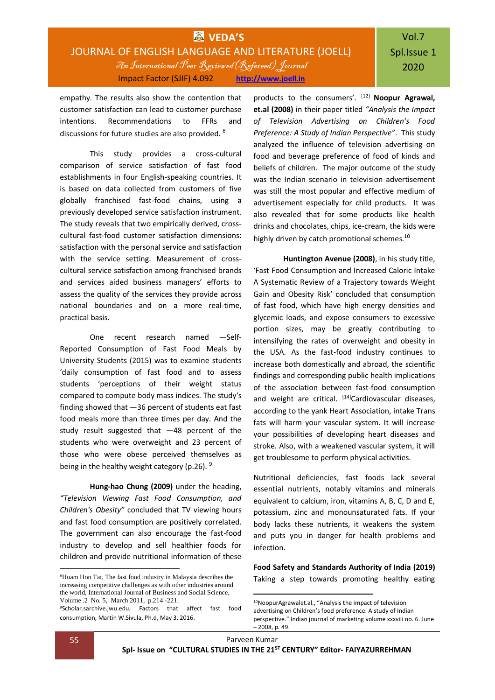## **WVEDA'S** JOURNAL OF ENGLISH LANGUAGE AND LITERATURE (JOELL) An International Peer Reviewed(Refereed) Journal Impact Factor (SJIF) 4.092 **[http://www.joell.in](http://www.joell.in/)**

# Vol.7 Spl.Issue 1 2020

empathy. The results also show the contention that customer satisfaction can lead to customer purchase intentions. Recommendations to FFRs and discussions for future studies are also provided. <sup>8</sup>

This study provides a cross-cultural comparison of service satisfaction of fast food establishments in four English-speaking countries. It is based on data collected from customers of five globally franchised fast-food chains, using a previously developed service satisfaction instrument. The study reveals that two empirically derived, crosscultural fast-food customer satisfaction dimensions: satisfaction with the personal service and satisfaction with the service setting. Measurement of crosscultural service satisfaction among franchised brands and services aided business managers' efforts to assess the quality of the services they provide across national boundaries and on a more real-time, practical basis.

One recent research named ―Self-Reported Consumption of Fast Food Meals by University Students (2015) was to examine students 'daily consumption of fast food and to assess students 'perceptions of their weight status compared to compute body mass indices. The study's finding showed that ―36 percent of students eat fast food meals more than three times per day. And the study result suggested that ―48 percent of the students who were overweight and 23 percent of those who were obese perceived themselves as being in the healthy weight category (p.26).  $9$ 

**Hung-hao Chung (2009)** under the heading, *"Television Viewing Fast Food Consumption, and Children's Obesity"* concluded that TV viewing hours and fast food consumption are positively correlated. The government can also encourage the fast-food industry to develop and sell healthier foods for children and provide nutritional information of these

products to the consumers'. [12] **Noopur Agrawal, et.al (2008)** in their paper titled *"Analysis the Impact of Television Advertising on Children's Food Preference: A Study of Indian Perspective"*. This study analyzed the influence of television advertising on food and beverage preference of food of kinds and beliefs of children. The major outcome of the study was the Indian scenario in television advertisement was still the most popular and effective medium of advertisement especially for child products. It was also revealed that for some products like health drinks and chocolates, chips, ice-cream, the kids were highly driven by catch promotional schemes.<sup>10</sup>

**Huntington Avenue (2008)**, in his study title, 'Fast Food Consumption and Increased Caloric Intake A Systematic Review of a Trajectory towards Weight Gain and Obesity Risk' concluded that consumption of fast food, which have high energy densities and glycemic loads, and expose consumers to excessive portion sizes, may be greatly contributing to intensifying the rates of overweight and obesity in the USA. As the fast-food industry continues to increase both domestically and abroad, the scientific findings and corresponding public health implications of the association between fast-food consumption and weight are critical. [14]Cardiovascular diseases, according to the yank Heart Association, intake Trans fats will harm your vascular system. It will increase your possibilities of developing heart diseases and stroke. Also, with a weakened vascular system, it will get troublesome to perform physical activities.

Nutritional deficiencies, fast foods lack several essential nutrients, notably vitamins and minerals equivalent to calcium, iron, vitamins A, B, C, D and E, potassium, zinc and monounsaturated fats. If your body lacks these nutrients, it weakens the system and puts you in danger for health problems and infection.

**Food Safety and Standards Authority of India (2019)** Taking a step towards promoting healthy eating

1

<sup>8</sup>Huam Hon Tat, The fast food industry in Malaysia describes the increasing competitive challenges as with other industries around the world, International Journal of Business and Social Science, Volume .2 No. 5, March 2011, p.214 -221.

<sup>9</sup>Scholar.sarchive.jwu.edu, Factors that affect fast food consumption, Martin W.Sivula, Ph.d, May 3, 2016.

<sup>10</sup>NoopurAgrawalet.al., "Analysis the impact of television advertising on Children's food preference: A study of Indian perspective." Indian journal of marketing volume xxxviii no. 6. June – 2008, p. 49.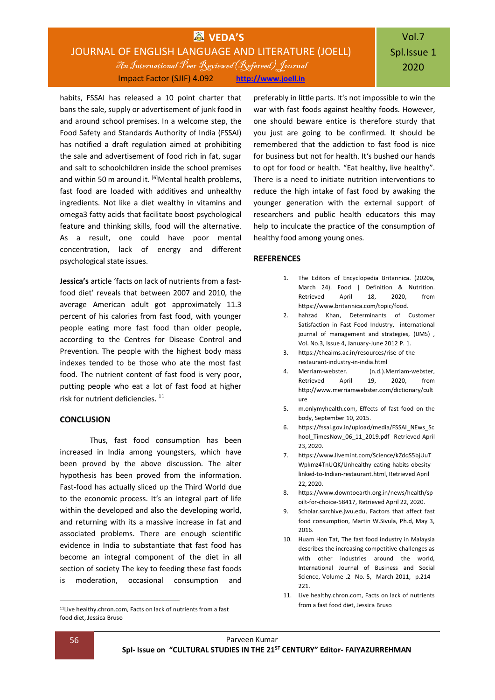## **VEDA'S** JOURNAL OF ENGLISH LANGUAGE AND LITERATURE (JOELL) An International Peer Reviewed(Refereed) Journal Impact Factor (SJIF) 4.092 **[http://www.joell.in](http://www.joell.in/)**

habits, FSSAI has released a 10 point charter that bans the sale, supply or advertisement of junk food in and around school premises. In a welcome step, the Food Safety and Standards Authority of India (FSSAI) has notified a draft regulation aimed at prohibiting the sale and advertisement of food rich in fat, sugar and salt to schoolchildren inside the school premises and within 50 m around it.  $^{[6]}$ Mental health problems, fast food are loaded with additives and unhealthy ingredients. Not like a diet wealthy in vitamins and omega3 fatty acids that facilitate boost psychological feature and thinking skills, food will the alternative. As a result, one could have poor mental concentration, lack of energy and different psychological state issues.

**Jessica's** article 'facts on lack of nutrients from a fastfood diet' reveals that between 2007 and 2010, the average American adult got approximately 11.3 percent of his calories from fast food, with younger people eating more fast food than older people, according to the Centres for Disease Control and Prevention. The people with the highest body mass indexes tended to be those who ate the most fast food. The nutrient content of fast food is very poor, putting people who eat a lot of fast food at higher risk for nutrient deficiencies. <sup>11</sup>

### **CONCLUSION**

Thus, fast food consumption has been increased in India among youngsters, which have been proved by the above discussion. The alter hypothesis has been proved from the information. Fast-food has actually sliced up the Third World due to the economic process. It's an integral part of life within the developed and also the developing world, and returning with its a massive increase in fat and associated problems. There are enough scientific evidence in India to substantiate that fast food has become an integral component of the diet in all section of society The key to feeding these fast foods is moderation, occasional consumption and

preferably in little parts. It's not impossible to win the war with fast foods against healthy foods. However, one should beware entice is therefore sturdy that you just are going to be confirmed. It should be remembered that the addiction to fast food is nice for business but not for health. It's bushed our hands to opt for food or health. "Eat healthy, live healthy". There is a need to initiate nutrition interventions to reduce the high intake of fast food by awaking the younger generation with the external support of researchers and public health educators this may help to inculcate the practice of the consumption of healthy food among young ones.

#### **REFERENCES**

- 1. The Editors of Encyclopedia Britannica. (2020a, March 24). Food | Definition & Nutrition. Retrieved April 18, 2020, from [https://www.britannica.com/topic/food.](https://www.britannica.com/topic/food)
- 2. hahzad Khan, Determinants of Customer Satisfaction in Fast Food Industry, international journal of management and strategies, (IJMS), Vol. No.3, Issue 4, January-June 2012 P. 1.
- 3. https://theaims.ac.in/resources/rise-of-therestaurant-industry-in-india.html
- 4. Merriam-webster. (n.d.).Merriam-webster, Retrieved April 19, 2020, from http://www.merriamwebster.com/dictionary/cult ure
- 5. m.onlymyhealth.com, Effects of fast food on the body, September 10, 2015.
- 6. [https://fssai.gov.in/upload/media/FSSAI\\_NEws\\_Sc](https://fssai.gov.in/upload/media/FSSAI_NEws_School_TimesNow_06_11_2019.pdf) hool TimesNow 06 11 2019.pdf Retrieved April 23, 2020.
- 7. [https://www.livemint.com/Science/kZdqS5bjUuT](https://www.livemint.com/Science/kZdqS5bjUuTWpkmz4TnUQK/Unhealthy-eating-habits-obesity-linked-to-Indian-restaurant.html) [Wpkmz4TnUQK/Unhealthy-eating-habits-obesity](https://www.livemint.com/Science/kZdqS5bjUuTWpkmz4TnUQK/Unhealthy-eating-habits-obesity-linked-to-Indian-restaurant.html)[linked-to-Indian-restaurant.html,](https://www.livemint.com/Science/kZdqS5bjUuTWpkmz4TnUQK/Unhealthy-eating-habits-obesity-linked-to-Indian-restaurant.html) Retrieved April 22, 2020.
- 8. [https://www.downtoearth.org.in/news/health/sp](https://www.downtoearth.org.in/news/health/spoilt-for-choice-58417) [oilt-for-choice-58417,](https://www.downtoearth.org.in/news/health/spoilt-for-choice-58417) Retrieved April 22, 2020.
- 9. Scholar.sarchive.jwu.edu, Factors that affect fast food consumption, Martin W.Sivula, Ph.d, May 3, 2016.
- 10. Huam Hon Tat, The fast food industry in Malaysia describes the increasing competitive challenges as with other industries around the world, International Journal of Business and Social Science, Volume .2 No. 5, March 2011, p.214 - 221.
- 11. Live healthy.chron.com, Facts on lack of nutrients from a fast food diet, Jessica Bruso

<sup>11</sup>Live healthy.chron.com, Facts on lack of nutrients from a fast food diet, Jessica Bruso